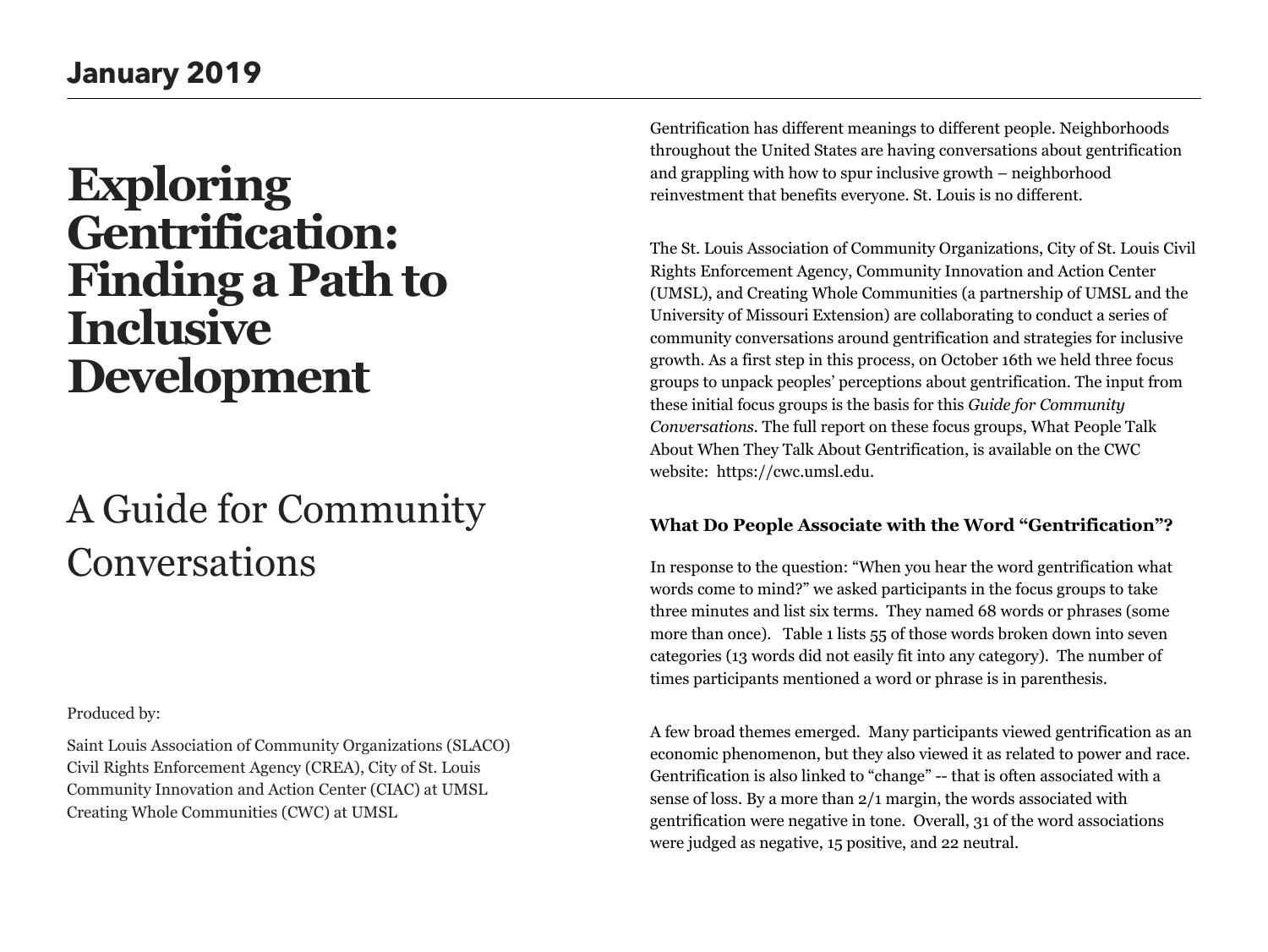# **Exploring Gentrification: Finding a Path to Inclusive Development**

# A Guide for Community Conversations

Produced by: Saint Louis Association of Community Organizations (SLACO) Civil Rights Enforcement Agency (CREA), City of St. Louis Community Innovation and Action Center (CIAC) at UMSL Creating Whole Communities (CWC) at UMSL

Gentrification has different meanings to different people. Neighborhoods throughout the United States are having conversations about gentrification and grappling with how to spur inclusive growth – neighborhood reinvestment that benefits everyone. St. Louis is no different.

The St. Louis Association of Community Organizations, City of St. Louis Civil Rights Enforcement Agency, Community Innovation and Action Center (UMSL), and Creating Whole Communities (a partnership of UMSL and the University of Missouri Extension) are collaborating to conduct a series of community conversations around gentrification and strategies for inclusive growth. As a first step in this process, on October 16th we held three focus groups to unpack peoples' perceptions about gentrification. The input from these initial focus groups is the basis for this *Guide for Community Conversations.* The full report on these focus groups, What People Talk About When They Talk About Gentrification, is available on the CWC website: https://cwc.umsl.edu.

# **What Do People Associate with the Word "Gentrification"?**

In response to the question: "When you hear the word gentrification what words come to mind?" we asked participants in the focus groups to take three minutes and list six terms. They named 68 words or phrases (some more than once). Table 1 lists 55 of those words broken down into seven categories (13 words did not easily fit into any category). The number of times participants mentioned a word or phrase is in parenthesis.

A few broad themes emerged. Many participants viewed gentrification as an economic phenomenon, but they also viewed it as related to power and race. Gentrification is also linked to "change" -- that is often associated with a sense of loss. By a more than 2/1 margin, the words associated with gentrification were negative in tone. Overall, 31 of the word associations were judged as negative, 15 positive, and 22 neutral.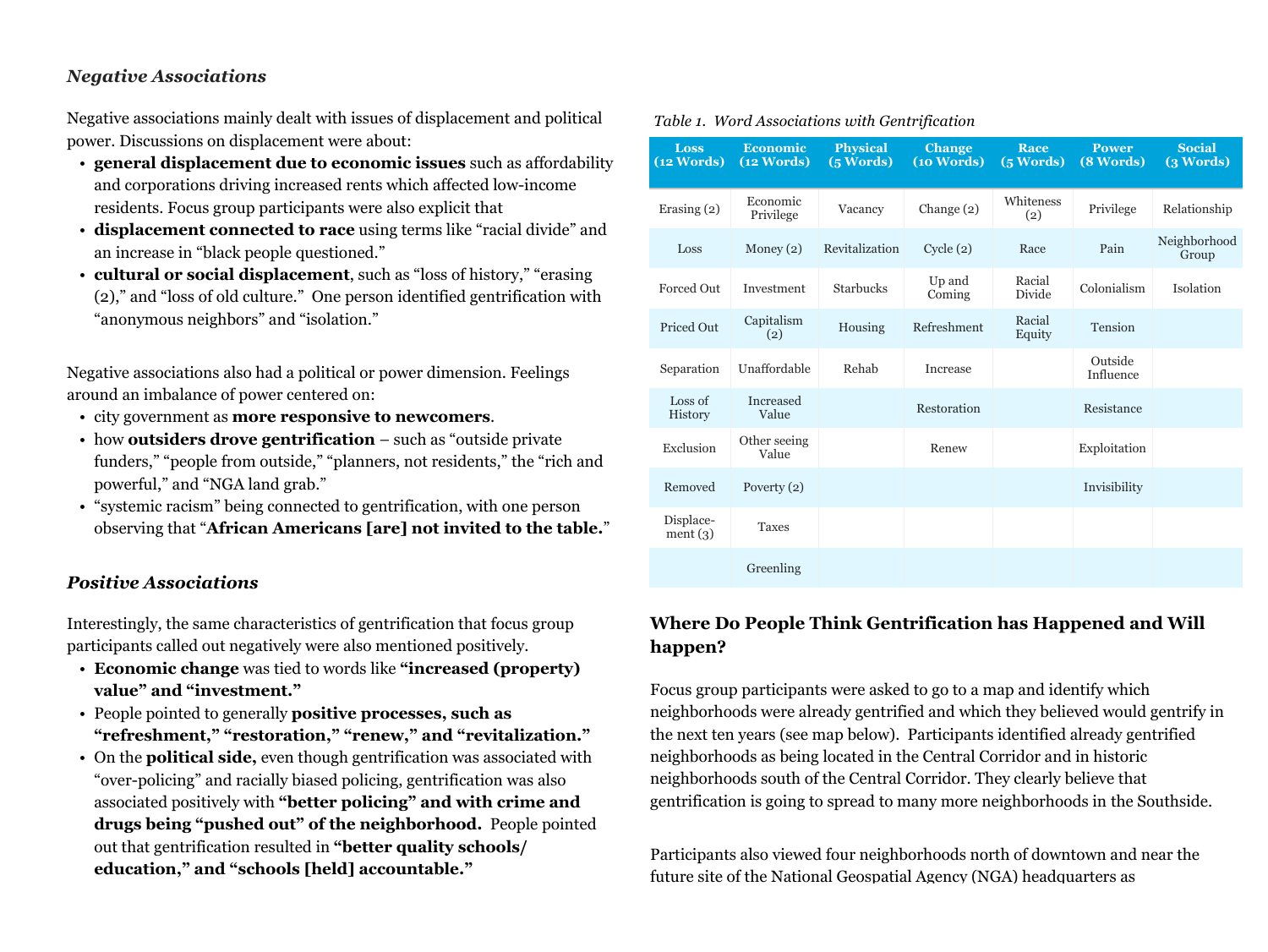# *Negative Associations*

Negative associations mainly dealt with issues of displacement and political power. Discussions on displacement were about:

- **general displacement due to economic issues** such as affordability and corporations driving increased rents which affected low-income residents. Focus group participants were also explicit that
- **displacement connected to race** using terms like "racial divide" and an increase in "black people questioned."
- **cultural or social displacement**, such as "loss of history," "erasing (2)," and "loss of old culture." One person identified gentrification with "anonymous neighbors" and "isolation."

Negative associations also had a political or power dimension. Feelings around an imbalance of power centered on:

- city government as **more responsive to newcomers**.
- how **outsiders drove gentrification**  such as "outside private funders," "people from outside," "planners, not residents," the "rich and powerful," and "NGA land grab."
- "systemic racism" being connected to gentrification, with one person observing that "**African Americans [are] not invited to the table.**"

## *Positive Associations*

Interestingly, the same characteristics of gentrification that focus group participants called out negatively were also mentioned positively.

- **Economic change** was tied to words like **"increased (property) value" and "investment."**
- People pointed to generally **positive processes, such as "refreshment," "restoration," "renew," and "revitalization."**
- On the **political side,** even though gentrification was associated with "over-policing" and racially biased policing, gentrification was also associated positively with **"better policing" and with crime and drugs being "pushed out" of the neighborhood.** People pointed out that gentrification resulted in **"better quality schools/ education," and "schools [held] accountable."**

| $\alpha$ independence to the series of text to $\alpha$ |                                      |                                                   |                             |                   |                           |                            |
|---------------------------------------------------------|--------------------------------------|---------------------------------------------------|-----------------------------|-------------------|---------------------------|----------------------------|
| <b>Loss</b><br>$\sqrt{12 \text{ Words}}$                | <b>Economic</b><br><b>(12 Words)</b> | <b>Physical</b><br>$\overline{(5 \text{ Words})}$ | <b>Change</b><br>(10 Words) | Race<br>(5 Words) | <b>Power</b><br>(8 Words) | <b>Social</b><br>(3 Words) |
| Erasing (2)                                             | Economic<br>Privilege                | Vacancy                                           | Change $(2)$                | Whiteness<br>(2)  | Privilege                 | Relationship               |
| Loss                                                    | Money $(2)$                          | Revitalization                                    | Cycle(2)                    | Race              | Pain                      | Neighborhood<br>Group      |
| Forced Out                                              | Investment                           | <b>Starbucks</b>                                  | Up and<br>Coming            | Racial<br>Divide  | Colonialism               | Isolation                  |
| Priced Out                                              | Capitalism<br>(2)                    | Housing                                           | Refreshment                 | Racial<br>Equity  | Tension                   |                            |
| Separation                                              | Unaffordable                         | Rehab                                             | Increase                    |                   | Outside<br>Influence      |                            |
| Loss of<br>History                                      | Increased<br>Value                   |                                                   | Restoration                 |                   | Resistance                |                            |
| Exclusion                                               | Other seeing<br>Value                |                                                   | Renew                       |                   | Exploitation              |                            |
| Removed                                                 | Poverty $(2)$                        |                                                   |                             |                   | Invisibility              |                            |
| Displace-<br>ment(3)                                    | <b>Taxes</b>                         |                                                   |                             |                   |                           |                            |
|                                                         | Greenling                            |                                                   |                             |                   |                           |                            |

### *Table 1. Word Associations with Gentrification*

# **Where Do People Think Gentrification has Happened and Will happen?**

Focus group participants were asked to go to a map and identify which neighborhoods were already gentrified and which they believed would gentrify in the next ten years (see map below). Participants identified already gentrified neighborhoods as being located in the Central Corridor and in historic neighborhoods south of the Central Corridor. They clearly believe that gentrification is going to spread to many more neighborhoods in the Southside.

Participants also viewed four neighborhoods north of downtown and near the future site of the National Geospatial Agency (NGA) headquarters as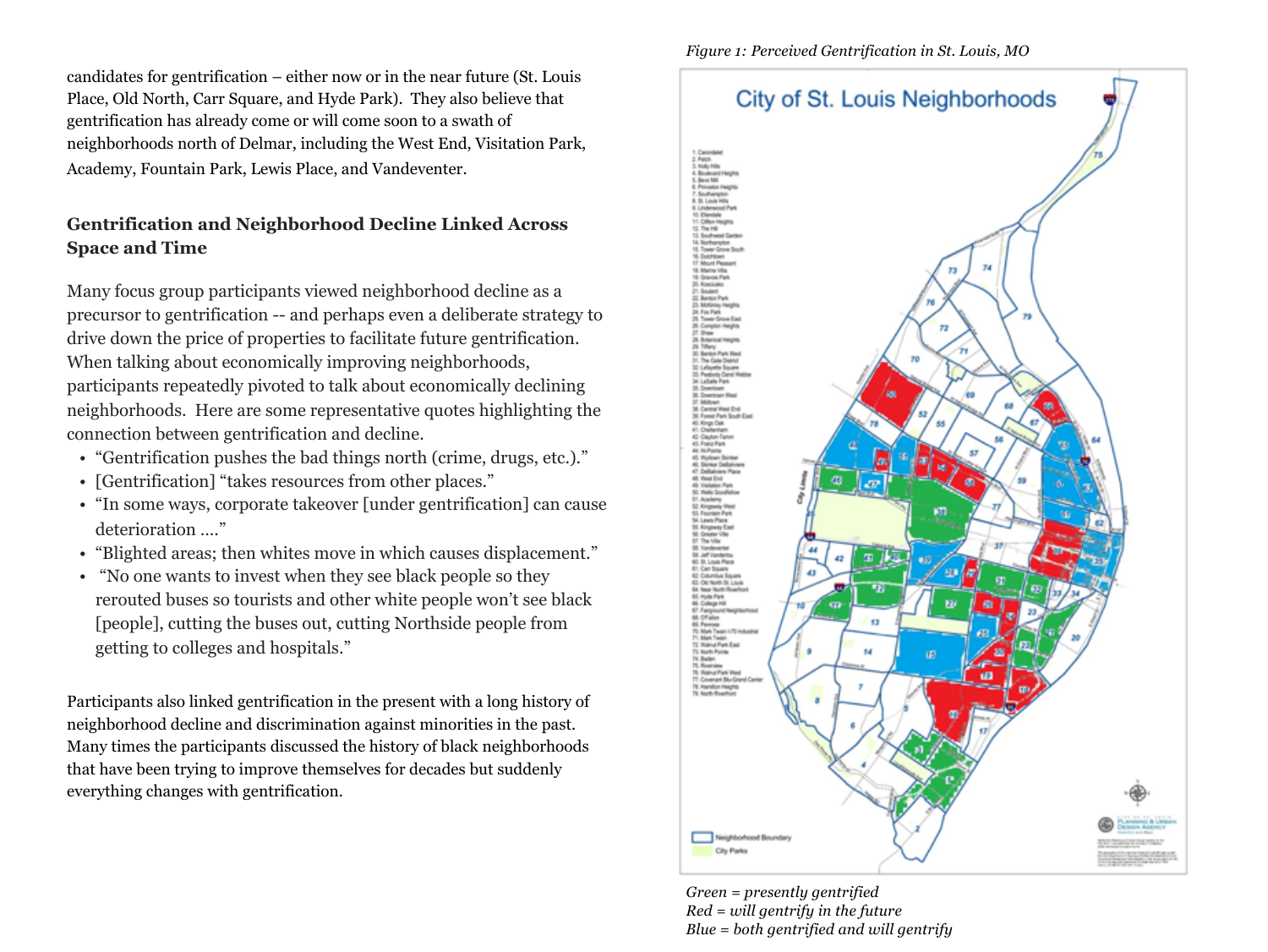candidates for gentrification – either now or in the near future (St. Louis Place, Old North, Carr Square, and Hyde Park). They also believe that gentrification has already come or will come soon to a swath of neighborhoods north of Delmar, including the West End, Visitation Park, Academy, Fountain Park, Lewis Place, and Vandeventer.

# **Gentrification and Neighborhood Decline Linked Across Space and Time**

Many focus group participants viewed neighborhood decline as a precursor to gentrification -- and perhaps even a deliberate strategy to drive down the price of properties to facilitate future gentrification. When talking about economically improving neighborhoods, participants repeatedly pivoted to talk about economically declining neighborhoods. Here are some representative quotes highlighting the connection between gentrification and decline.

- "Gentrification pushes the bad things north (crime, drugs, etc.)."
- [Gentrification] "takes resources from other places."
- "In some ways, corporate takeover [under gentrification] can cause deterioration …."
- "Blighted areas; then whites move in which causes displacement."
- "No one wants to invest when they see black people so they rerouted buses so tourists and other white people won't see black [people], cutting the buses out, cutting Northside people from getting to colleges and hospitals."

Participants also linked gentrification in the present with a long history of neighborhood decline and discrimination against minorities in the past. Many times the participants discussed the history of black neighborhoods that have been trying to improve themselves for decades but suddenly everything changes with gentrification.

*Figure 1: Perceived Gentrification in St. Louis, MO*



*Green = presently gentrified Red = will gentrify in the future Blue = both gentrified and will gentrify*